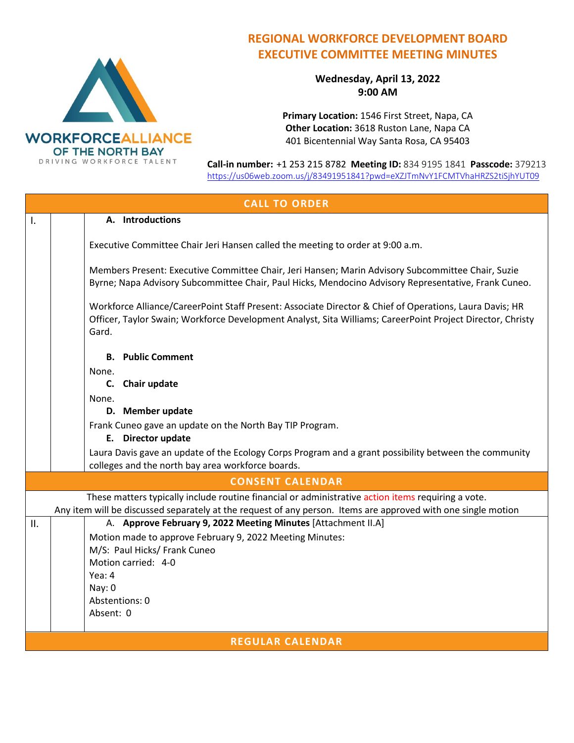

## **REGIONAL WORKFORCE DEVELOPMENT BOARD EXECUTIVE COMMITTEE MEETING MINUTES**

**Wednesday, April 13, 2022 9:00 AM**

**Primary Location:** 1546 First Street, Napa, CA **Other Location:** 3618 Ruston Lane, Napa CA 401 Bicentennial Way Santa Rosa, CA 95403

**Call-in number:** +1 253 215 8782 **Meeting ID:** 834 9195 1841 **Passcode:** 379213 <https://us06web.zoom.us/j/83491951841?pwd=eXZJTmNvY1FCMTVhaHRZS2tiSjhYUT09>

| <b>CALL TO ORDER</b>    |                                                                                                                                                                                                                                |  |  |
|-------------------------|--------------------------------------------------------------------------------------------------------------------------------------------------------------------------------------------------------------------------------|--|--|
| I.                      | A. Introductions                                                                                                                                                                                                               |  |  |
|                         | Executive Committee Chair Jeri Hansen called the meeting to order at 9:00 a.m.                                                                                                                                                 |  |  |
|                         | Members Present: Executive Committee Chair, Jeri Hansen; Marin Advisory Subcommittee Chair, Suzie<br>Byrne; Napa Advisory Subcommittee Chair, Paul Hicks, Mendocino Advisory Representative, Frank Cuneo.                      |  |  |
|                         | Workforce Alliance/CareerPoint Staff Present: Associate Director & Chief of Operations, Laura Davis; HR<br>Officer, Taylor Swain; Workforce Development Analyst, Sita Williams; CareerPoint Project Director, Christy<br>Gard. |  |  |
|                         | <b>B.</b> Public Comment                                                                                                                                                                                                       |  |  |
|                         | None.                                                                                                                                                                                                                          |  |  |
|                         | C. Chair update                                                                                                                                                                                                                |  |  |
|                         | None.<br>D. Member update                                                                                                                                                                                                      |  |  |
|                         | Frank Cuneo gave an update on the North Bay TIP Program.                                                                                                                                                                       |  |  |
|                         | E. Director update                                                                                                                                                                                                             |  |  |
|                         | Laura Davis gave an update of the Ecology Corps Program and a grant possibility between the community<br>colleges and the north bay area workforce boards.                                                                     |  |  |
| <b>CONSENT CALENDAR</b> |                                                                                                                                                                                                                                |  |  |
|                         | These matters typically include routine financial or administrative action items requiring a vote.                                                                                                                             |  |  |
|                         | Any item will be discussed separately at the request of any person. Items are approved with one single motion<br>A. Approve February 9, 2022 Meeting Minutes [Attachment II.A]                                                 |  |  |
| II.                     | Motion made to approve February 9, 2022 Meeting Minutes:                                                                                                                                                                       |  |  |
|                         | M/S: Paul Hicks/ Frank Cuneo                                                                                                                                                                                                   |  |  |
|                         | Motion carried: 4-0                                                                                                                                                                                                            |  |  |
|                         | Yea: 4                                                                                                                                                                                                                         |  |  |
|                         | Nay: 0<br>Abstentions: 0                                                                                                                                                                                                       |  |  |
|                         | Absent: 0                                                                                                                                                                                                                      |  |  |
|                         |                                                                                                                                                                                                                                |  |  |
| <b>REGULAR CALENDAR</b> |                                                                                                                                                                                                                                |  |  |
|                         |                                                                                                                                                                                                                                |  |  |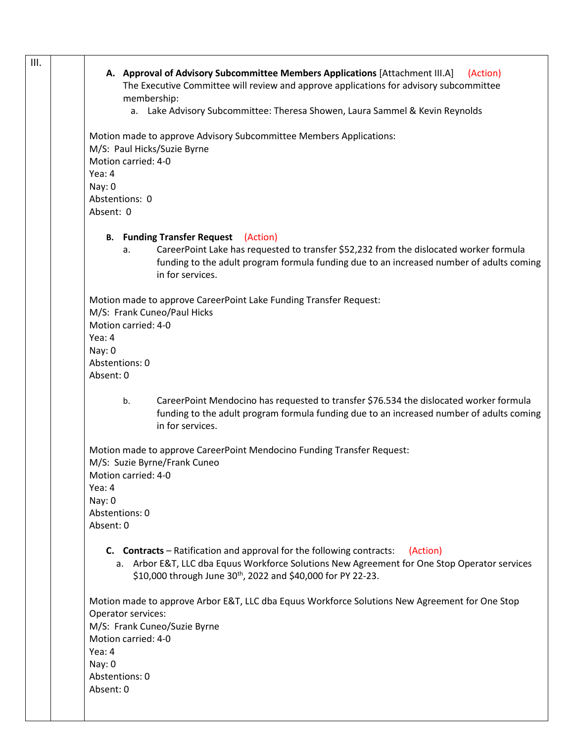| III. |                                                                                                |
|------|------------------------------------------------------------------------------------------------|
|      | A. Approval of Advisory Subcommittee Members Applications [Attachment III.A]<br>(Action)       |
|      | The Executive Committee will review and approve applications for advisory subcommittee         |
|      | membership:                                                                                    |
|      | a. Lake Advisory Subcommittee: Theresa Showen, Laura Sammel & Kevin Reynolds                   |
|      |                                                                                                |
|      | Motion made to approve Advisory Subcommittee Members Applications:                             |
|      | M/S: Paul Hicks/Suzie Byrne                                                                    |
|      | Motion carried: 4-0                                                                            |
|      | Yea: 4                                                                                         |
|      | Nay: 0                                                                                         |
|      | Abstentions: 0                                                                                 |
|      | Absent: 0                                                                                      |
|      |                                                                                                |
|      | <b>B.</b> Funding Transfer Request<br>(Action)                                                 |
|      | CareerPoint Lake has requested to transfer \$52,232 from the dislocated worker formula<br>a.   |
|      | funding to the adult program formula funding due to an increased number of adults coming       |
|      | in for services.                                                                               |
|      | Motion made to approve CareerPoint Lake Funding Transfer Request:                              |
|      | M/S: Frank Cuneo/Paul Hicks                                                                    |
|      | Motion carried: 4-0                                                                            |
|      | Yea: 4                                                                                         |
|      | Nay: 0                                                                                         |
|      | Abstentions: 0                                                                                 |
|      | Absent: 0                                                                                      |
|      |                                                                                                |
|      | CareerPoint Mendocino has requested to transfer \$76.534 the dislocated worker formula<br>b.   |
|      | funding to the adult program formula funding due to an increased number of adults coming       |
|      | in for services.                                                                               |
|      |                                                                                                |
|      | Motion made to approve CareerPoint Mendocino Funding Transfer Request:                         |
|      | M/S: Suzie Byrne/Frank Cuneo                                                                   |
|      | Motion carried: 4-0                                                                            |
|      | Yea: 4                                                                                         |
|      | Nay: 0                                                                                         |
|      | Abstentions: 0                                                                                 |
|      | Absent: 0                                                                                      |
|      |                                                                                                |
|      | <b>C.</b> Contracts – Ratification and approval for the following contracts:<br>(Action)       |
|      | a. Arbor E&T, LLC dba Equus Workforce Solutions New Agreement for One Stop Operator services   |
|      | \$10,000 through June 30 <sup>th</sup> , 2022 and \$40,000 for PY 22-23.                       |
|      |                                                                                                |
|      | Motion made to approve Arbor E&T, LLC dba Equus Workforce Solutions New Agreement for One Stop |
|      | Operator services:                                                                             |
|      | M/S: Frank Cuneo/Suzie Byrne                                                                   |
|      | Motion carried: 4-0                                                                            |
|      | Yea: 4                                                                                         |
|      | Nay: 0                                                                                         |
|      | Abstentions: 0                                                                                 |
|      | Absent: 0                                                                                      |